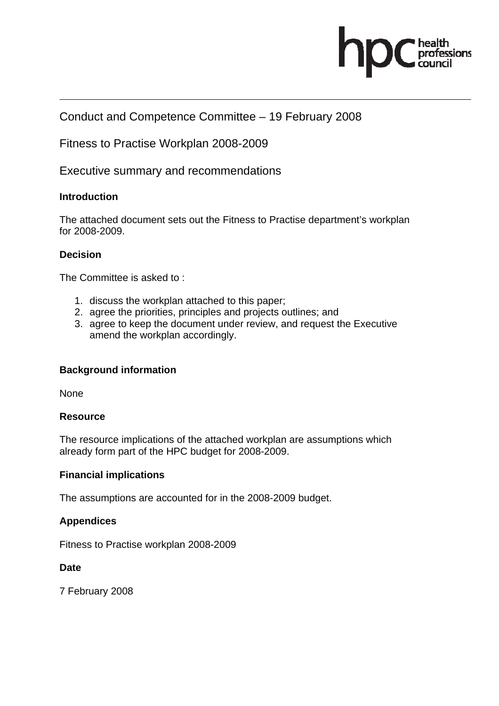

# Conduct and Competence Committee – 19 February 2008

Fitness to Practise Workplan 2008-2009

Executive summary and recommendations

#### **Introduction**

The attached document sets out the Fitness to Practise department's workplan for 2008-2009.

#### **Decision**

The Committee is asked to :

- 1. discuss the workplan attached to this paper;
- 2. agree the priorities, principles and projects outlines; and
- 3. agree to keep the document under review, and request the Executive amend the workplan accordingly.

#### **Background information**

None

#### **Resource**

The resource implications of the attached workplan are assumptions which already form part of the HPC budget for 2008-2009.

#### **Financial implications**

The assumptions are accounted for in the 2008-2009 budget.

#### **Appendices**

Fitness to Practise workplan 2008-2009

#### **Date**

7 February 2008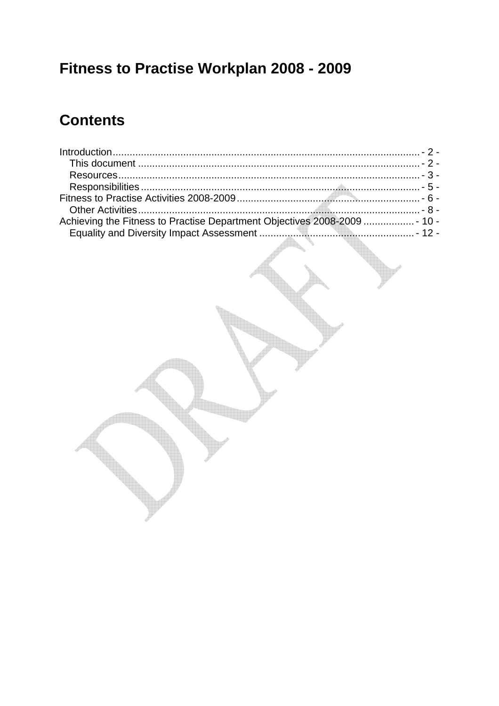# Fitness to Practise Workplan 2008 - 2009

# **Contents**

| Achieving the Fitness to Practise Department Objectives 2008-2009  - 10 - |  |
|---------------------------------------------------------------------------|--|
|                                                                           |  |
|                                                                           |  |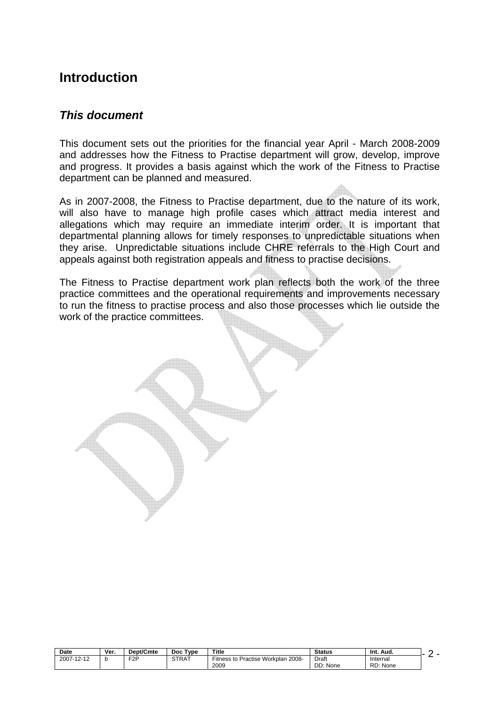# **Introduction**

## *This document*

This document sets out the priorities for the financial year April - March 2008-2009 and addresses how the Fitness to Practise department will grow, develop, improve and progress. It provides a basis against which the work of the Fitness to Practise department can be planned and measured.

As in 2007-2008, the Fitness to Practise department, due to the nature of its work, will also have to manage high profile cases which attract media interest and allegations which may require an immediate interim order. It is important that departmental planning allows for timely responses to unpredictable situations when they arise. Unpredictable situations include CHRE referrals to the High Court and appeals against both registration appeals and fitness to practise decisions.

The Fitness to Practise department work plan reflects both the work of the three practice committees and the operational requirements and improvements necessary to run the fitness to practise process and also those processes which lie outside the work of the practice committees.

| Date       | Ver. | Dept/Cmte        | <b>Type</b><br><b>Doc</b> | <b>Title</b>                                  | <b>Status</b>               | Int.<br>Aud.         |  |
|------------|------|------------------|---------------------------|-----------------------------------------------|-----------------------------|----------------------|--|
| 2007-12-12 |      | F <sub>2</sub> P | <b>STRAT</b>              | Practise Workplan 2008-<br>Fitness to<br>2009 | Draft<br>DD:<br><b>None</b> | Internal<br>RD: None |  |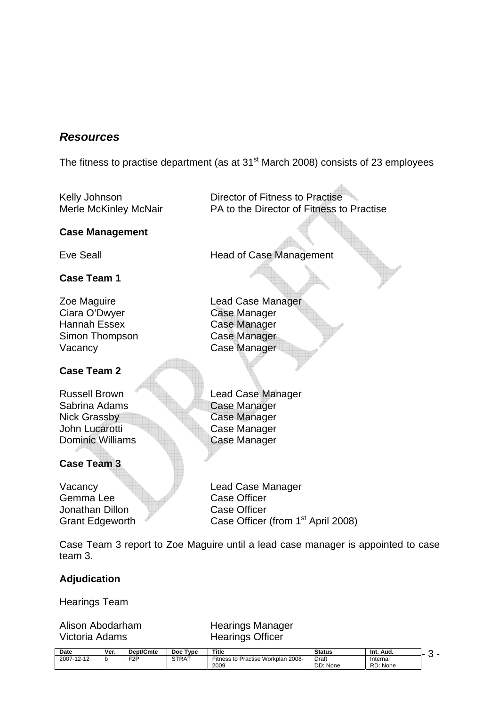# *Resources*

The fitness to practise department (as at  $31<sup>st</sup>$  March 2008) consists of 23 employees

Kelly Johnson **Director of Fitness to Practise** Merle McKinley McNair PA to the Director of Fitness to Practise

#### **Case Management**

Eve Seall **Exercise Seall** Head of Case Management

#### **Case Team 1**

Zoe Maguire **Lead Case Manager** Ciara O'Dwyer Case Manager Hannah Essex Case Manager Simon Thompson Case Manager Vacancy **Case Manager** 

#### **Case Team 2**

Sabrina Adams **Case Manager** Nick Grassby<br>
Nick Grassby<br>
Case Manager<br>
Case Manager John Lucarotti<br>
Dominic Williams<br>
Case Manager

# **Case Team 3**

Gemma Lee Case Officer Jonathan Dillon Case Officer

Russell Brown Lead Case Manager

**Case Manager** 

Vacancy **Lead Case Manager** Grant Edgeworth Case Officer (from 1<sup>st</sup> April 2008)

Case Team 3 report to Zoe Maguire until a lead case manager is appointed to case team 3.

#### **Adjudication**

Hearings Team

Victoria Adams Hearings Officer

# Alison Abodarham Hearings Manager

| Date                      | Ver. | Dept/Cmte  | Type<br>Doc  | <b>Title</b>                                                  | <b>Status</b>  | Int.<br>Aud. |  |
|---------------------------|------|------------|--------------|---------------------------------------------------------------|----------------|--------------|--|
| 2007-1<br>.40<br>$2 - 12$ |      | <b>EOD</b> | <b>STRAT</b> | Workplan<br>2008-<br>$-\cdot$ .<br><b>Fitness to Practise</b> | Draft<br>_____ | Internal     |  |
|                           |      |            |              | 2009                                                          | DD:<br>None    | RD: None     |  |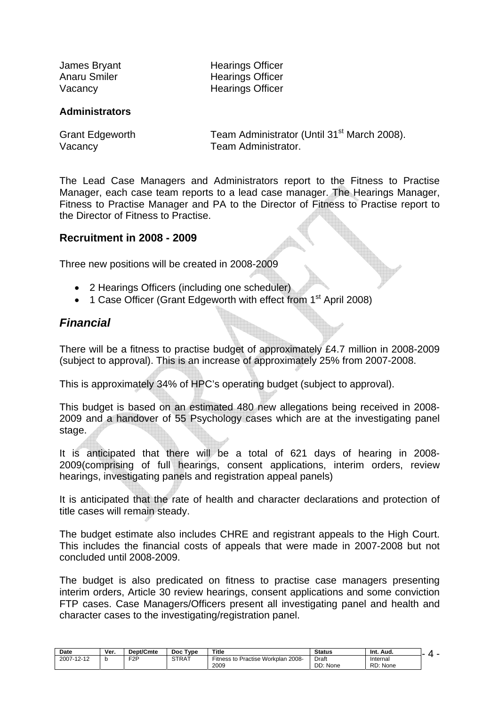James Bryant **Hearings Officer** Anaru Smiler **Hearings Officer** Vacancy **Hearings Officer** 

#### **Administrators**

Grant Edgeworth Team Administrator (Until 31<sup>st</sup> March 2008). Vacancy Vacancy **Team Administrator.** 

The Lead Case Managers and Administrators report to the Fitness to Practise Manager, each case team reports to a lead case manager. The Hearings Manager, Fitness to Practise Manager and PA to the Director of Fitness to Practise report to the Director of Fitness to Practise.

#### **Recruitment in 2008 - 2009**

Three new positions will be created in 2008-2009

- 2 Hearings Officers (including one scheduler)
- 1 Case Officer (Grant Edgeworth with effect from 1<sup>st</sup> April 2008)

#### *Financial*

There will be a fitness to practise budget of approximately £4.7 million in 2008-2009 (subject to approval). This is an increase of approximately 25% from 2007-2008.

This is approximately 34% of HPC's operating budget (subject to approval).

This budget is based on an estimated 480 new allegations being received in 2008- 2009 and a handover of 55 Psychology cases which are at the investigating panel stage.

It is anticipated that there will be a total of 621 days of hearing in 2008- 2009(comprising of full hearings, consent applications, interim orders, review hearings, investigating panels and registration appeal panels)

It is anticipated that the rate of health and character declarations and protection of title cases will remain steady.

The budget estimate also includes CHRE and registrant appeals to the High Court. This includes the financial costs of appeals that were made in 2007-2008 but not concluded until 2008-2009.

The budget is also predicated on fitness to practise case managers presenting interim orders, Article 30 review hearings, consent applications and some conviction FTP cases. Case Managers/Officers present all investigating panel and health and character cases to the investigating/registration panel.

| <b>Date</b>                             | Ver. | Dept/Cmte        | Type<br><b>Doc</b> | Title                                                      | <b>Status</b>     | -Int.<br>Aud.        | . . |
|-----------------------------------------|------|------------------|--------------------|------------------------------------------------------------|-------------------|----------------------|-----|
| 10.10<br>2007-<br>$\prime$ .<br>$2 - 1$ |      | F <sub>2</sub> P | <b>STRAT</b>       | <br>-2008،<br>Practise Workplan<br>-itness<br>: to<br>2009 | Draft<br>DD: None | Internal<br>RD: None |     |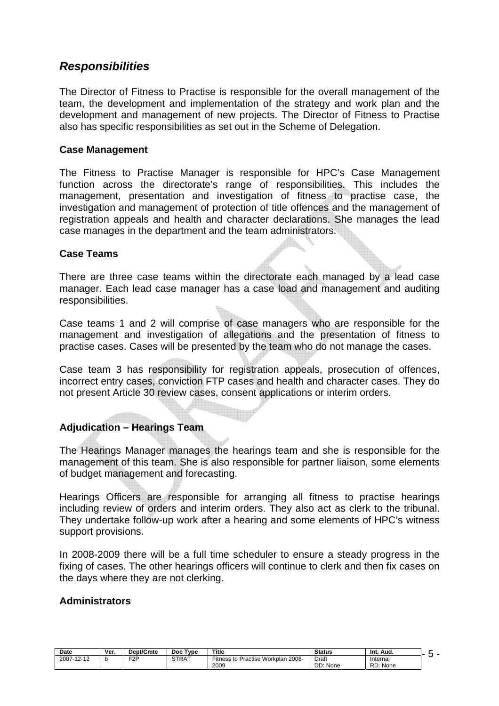# *Responsibilities*

The Director of Fitness to Practise is responsible for the overall management of the team, the development and implementation of the strategy and work plan and the development and management of new projects. The Director of Fitness to Practise also has specific responsibilities as set out in the Scheme of Delegation.

#### **Case Management**

The Fitness to Practise Manager is responsible for HPC's Case Management function across the directorate's range of responsibilities. This includes the management, presentation and investigation of fitness to practise case, the investigation and management of protection of title offences and the management of registration appeals and health and character declarations. She manages the lead case manages in the department and the team administrators.

#### **Case Teams**

There are three case teams within the directorate each managed by a lead case manager. Each lead case manager has a case load and management and auditing responsibilities.

Case teams 1 and 2 will comprise of case managers who are responsible for the management and investigation of allegations and the presentation of fitness to practise cases. Cases will be presented by the team who do not manage the cases.

Case team 3 has responsibility for registration appeals, prosecution of offences, incorrect entry cases, conviction FTP cases and health and character cases. They do not present Article 30 review cases, consent applications or interim orders.

#### **Adjudication – Hearings Team**

The Hearings Manager manages the hearings team and she is responsible for the management of this team. She is also responsible for partner liaison, some elements of budget management and forecasting.

Hearings Officers are responsible for arranging all fitness to practise hearings including review of orders and interim orders. They also act as clerk to the tribunal. They undertake follow-up work after a hearing and some elements of HPC's witness support provisions.

In 2008-2009 there will be a full time scheduler to ensure a steady progress in the fixing of cases. The other hearings officers will continue to clerk and then fix cases on the days where they are not clerking.

#### **Administrators**

| <b>Date</b>         | Ver. | Dept/Cmte | Type<br>Doc  | Title                                                        | <b>Status</b>     | Aud.<br>Int.         |  |
|---------------------|------|-----------|--------------|--------------------------------------------------------------|-------------------|----------------------|--|
| 2007-12-12<br>10.10 |      | FOD       | <b>STRAT</b> | <b>Workplan</b><br>. 2008-<br>Practise<br>Fitness to<br>2009 | Draft<br>DD: None | Internal<br>RD: None |  |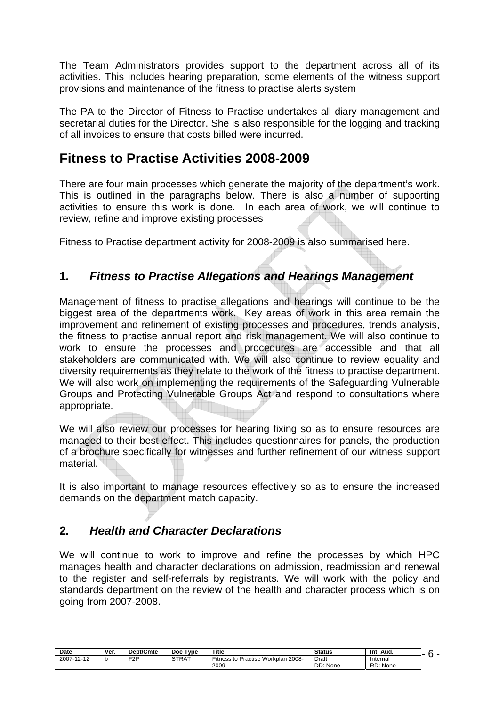The Team Administrators provides support to the department across all of its activities. This includes hearing preparation, some elements of the witness support provisions and maintenance of the fitness to practise alerts system

The PA to the Director of Fitness to Practise undertakes all diary management and secretarial duties for the Director. She is also responsible for the logging and tracking of all invoices to ensure that costs billed were incurred.

# **Fitness to Practise Activities 2008-2009**

There are four main processes which generate the majority of the department's work. This is outlined in the paragraphs below. There is also a number of supporting activities to ensure this work is done. In each area of work, we will continue to review, refine and improve existing processes

Fitness to Practise department activity for 2008-2009 is also summarised here.

# **1***. Fitness to Practise Allegations and Hearings Management*

Management of fitness to practise allegations and hearings will continue to be the biggest area of the departments work. Key areas of work in this area remain the improvement and refinement of existing processes and procedures, trends analysis, the fitness to practise annual report and risk management. We will also continue to work to ensure the processes and procedures are accessible and that all stakeholders are communicated with. We will also continue to review equality and diversity requirements as they relate to the work of the fitness to practise department. We will also work on implementing the requirements of the Safeguarding Vulnerable Groups and Protecting Vulnerable Groups Act and respond to consultations where appropriate.

We will also review our processes for hearing fixing so as to ensure resources are managed to their best effect. This includes questionnaires for panels, the production of a brochure specifically for witnesses and further refinement of our witness support material.

It is also important to manage resources effectively so as to ensure the increased demands on the department match capacity.

# **2***. Health and Character Declarations*

We will continue to work to improve and refine the processes by which HPC manages health and character declarations on admission, readmission and renewal to the register and self-referrals by registrants. We will work with the policy and standards department on the review of the health and character process which is on going from 2007-2008.

| <b>Date</b> | Ver. | Dept/Cmte        | Type<br><b>Doc</b> | Title                                           | <b>Status</b>     | Int.<br>Aud.         |  |
|-------------|------|------------------|--------------------|-------------------------------------------------|-------------------|----------------------|--|
| 2007-12-12  |      | F <sub>2</sub> P | <b>STRAT</b>       | Practise Workplan 2008-<br>Fitness to .<br>2009 | Draft<br>DD: None | Internal<br>RD: None |  |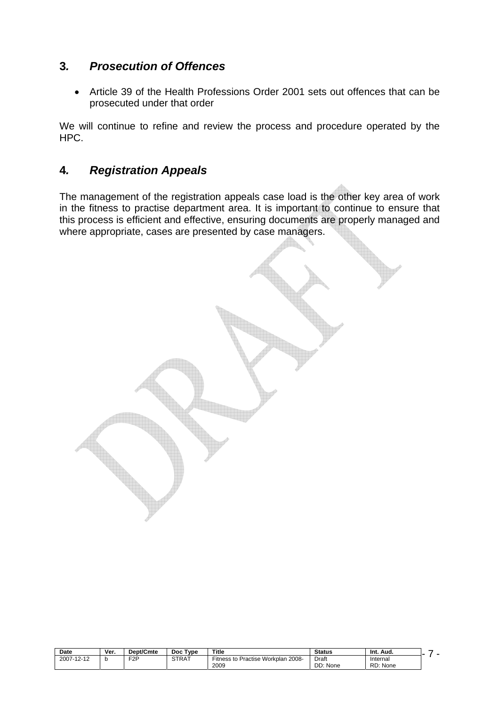# **3***. Prosecution of Offences*

• Article 39 of the Health Professions Order 2001 sets out offences that can be prosecuted under that order

We will continue to refine and review the process and procedure operated by the HPC.

# **4***. Registration Appeals*

The management of the registration appeals case load is the other key area of work in the fitness to practise department area. It is important to continue to ensure that this process is efficient and effective, ensuring documents are properly managed and where appropriate, cases are presented by case managers.

| <b>Date</b> | Ver. | Dept/Cmte | Type<br>Doc  | Title                                                               | <b>Status</b>     | Int.<br>Aud.         |  |
|-------------|------|-----------|--------------|---------------------------------------------------------------------|-------------------|----------------------|--|
| 2007-12-12  |      | F2P<br>-  | <b>STRAT</b> | Practise Workplan د<br>$- \cdot$<br>. 2008-<br>Fitness to L<br>2009 | Draft<br>DD: None | Internai<br>RD: None |  |
|             |      |           |              |                                                                     |                   |                      |  |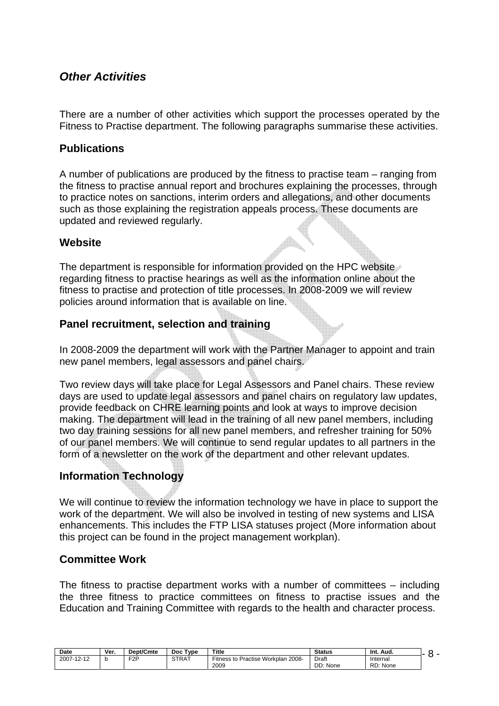# *Other Activities*

There are a number of other activities which support the processes operated by the Fitness to Practise department. The following paragraphs summarise these activities.

### **Publications**

A number of publications are produced by the fitness to practise team – ranging from the fitness to practise annual report and brochures explaining the processes, through to practice notes on sanctions, interim orders and allegations, and other documents such as those explaining the registration appeals process. These documents are updated and reviewed regularly.

## **Website**

The department is responsible for information provided on the HPC website regarding fitness to practise hearings as well as the information online about the fitness to practise and protection of title processes. In 2008-2009 we will review policies around information that is available on line.

## **Panel recruitment, selection and training**

In 2008-2009 the department will work with the Partner Manager to appoint and train new panel members, legal assessors and panel chairs.

Two review days will take place for Legal Assessors and Panel chairs. These review days are used to update legal assessors and panel chairs on regulatory law updates, provide feedback on CHRE learning points and look at ways to improve decision making. The department will lead in the training of all new panel members, including two day training sessions for all new panel members, and refresher training for 50% of our panel members. We will continue to send regular updates to all partners in the form of a newsletter on the work of the department and other relevant updates.

# **Information Technology**

We will continue to review the information technology we have in place to support the work of the department. We will also be involved in testing of new systems and LISA enhancements. This includes the FTP LISA statuses project (More information about this project can be found in the project management workplan).

#### **Committee Work**

The fitness to practise department works with a number of committees – including the three fitness to practice committees on fitness to practise issues and the Education and Training Committee with regards to the health and character process.

| Date       | Ver. | Dept/Cmte        | Tvpe<br>Doc. | Title                                                        | <b>Status</b>     | Aud.<br>-Int.        |  |
|------------|------|------------------|--------------|--------------------------------------------------------------|-------------------|----------------------|--|
| 2007-12-12 |      | F <sub>2</sub> P | <b>STRAT</b> | Practise Workplan<br>2008-<br><sup>∟</sup> itness to<br>2009 | Draft<br>DD: None | Internal<br>RD: None |  |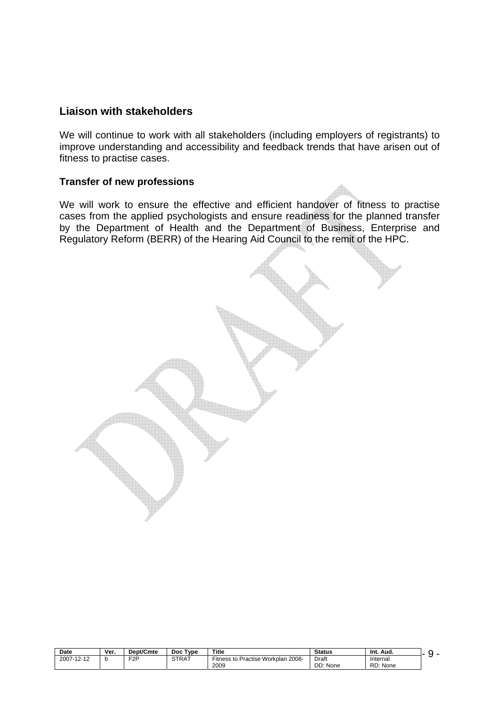#### **Liaison with stakeholders**

We will continue to work with all stakeholders (including employers of registrants) to improve understanding and accessibility and feedback trends that have arisen out of fitness to practise cases.

#### **Transfer of new professions**

We will work to ensure the effective and efficient handover of fitness to practise cases from the applied psychologists and ensure readiness for the planned transfer by the Department of Health and the Department of Business, Enterprise and Regulatory Reform (BERR) of the Hearing Aid Council to the remit of the HPC.

| Date       | Ver. | Dept/Cmte        | <b>Type</b><br>Doc | <b>Title</b>                                            | Status         | Aud.<br>-Int. |  |
|------------|------|------------------|--------------------|---------------------------------------------------------|----------------|---------------|--|
| 2007-12-12 |      | F <sub>2</sub> P | <b>STRAT</b>       | Practise Workplan<br>$- \cdot$<br>. 2008-<br>Fitness to | Draft<br>_____ | Internal      |  |
|            |      |                  |                    | 2009                                                    | DD: None       | RD: None      |  |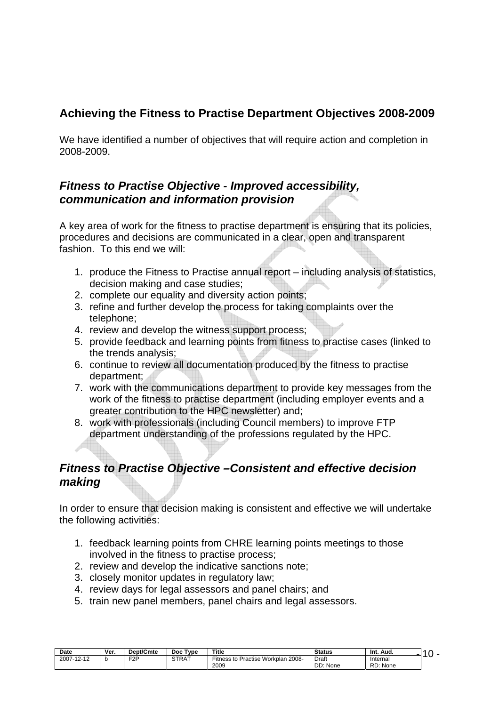# **Achieving the Fitness to Practise Department Objectives 2008-2009**

We have identified a number of objectives that will require action and completion in 2008-2009.

# *Fitness to Practise Objective - Improved accessibility, communication and information provision*

A key area of work for the fitness to practise department is ensuring that its policies, procedures and decisions are communicated in a clear, open and transparent fashion. To this end we will:

- 1. produce the Fitness to Practise annual report including analysis of statistics, decision making and case studies;
- 2. complete our equality and diversity action points;
- 3. refine and further develop the process for taking complaints over the telephone;
- 4. review and develop the witness support process;
- 5. provide feedback and learning points from fitness to practise cases (linked to the trends analysis;
- 6. continue to review all documentation produced by the fitness to practise department;
- 7. work with the communications department to provide key messages from the work of the fitness to practise department (including employer events and a greater contribution to the HPC newsletter) and;
- 8. work with professionals (including Council members) to improve FTP department understanding of the professions regulated by the HPC.

# *Fitness to Practise Objective –Consistent and effective decision making*

In order to ensure that decision making is consistent and effective we will undertake the following activities:

- 1. feedback learning points from CHRE learning points meetings to those involved in the fitness to practise process;
- 2. review and develop the indicative sanctions note;
- 3. closely monitor updates in regulatory law;
- 4. review days for legal assessors and panel chairs; and
- 5. train new panel members, panel chairs and legal assessors.

| Date       | Ver. | Dept/Cmte | Type<br>Doc  | Title                                        | <b>Status</b> | - Int.<br>Aud. |  |
|------------|------|-----------|--------------|----------------------------------------------|---------------|----------------|--|
| 2007-12-12 |      | EOD<br>-  | <b>STRAT</b> | Practise Workplan<br>$12008 -$<br>Fitness to | Draft         | Internal       |  |
|            |      |           |              | 2009                                         | DD: None      | RD: None       |  |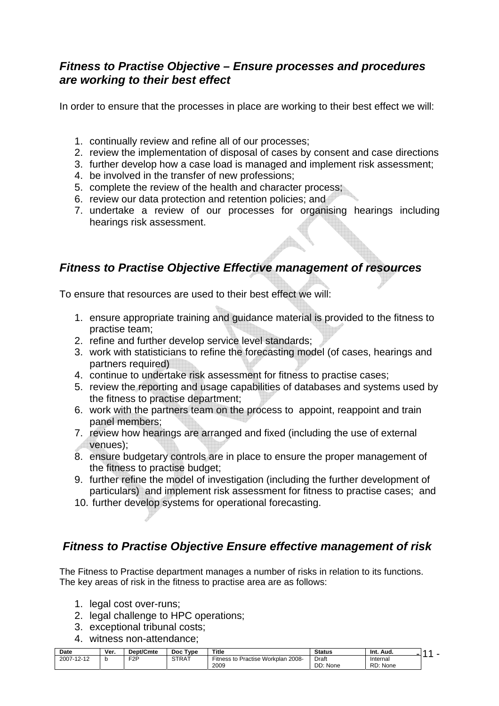# *Fitness to Practise Objective – Ensure processes and procedures are working to their best effect*

In order to ensure that the processes in place are working to their best effect we will:

- 1. continually review and refine all of our processes;
- 2. review the implementation of disposal of cases by consent and case directions
- 3. further develop how a case load is managed and implement risk assessment;
- 4. be involved in the transfer of new professions;
- 5. complete the review of the health and character process;
- 6. review our data protection and retention policies; and
- 7. undertake a review of our processes for organising hearings including hearings risk assessment.

# *Fitness to Practise Objective Effective management of resources*

To ensure that resources are used to their best effect we will:

- 1. ensure appropriate training and guidance material is provided to the fitness to practise team;
- 2. refine and further develop service level standards;
- 3. work with statisticians to refine the forecasting model (of cases, hearings and partners required)
- 4. continue to undertake risk assessment for fitness to practise cases;
- 5. review the reporting and usage capabilities of databases and systems used by the fitness to practise department;
- 6. work with the partners team on the process to appoint, reappoint and train panel members;
- 7. review how hearings are arranged and fixed (including the use of external venues);
- 8. ensure budgetary controls are in place to ensure the proper management of the fitness to practise budget;
- 9. further refine the model of investigation (including the further development of particulars) and implement risk assessment for fitness to practise cases; and
- 10. further develop systems for operational forecasting.

# *Fitness to Practise Objective Ensure effective management of risk*

The Fitness to Practise department manages a number of risks in relation to its functions. The key areas of risk in the fitness to practise area are as follows:

- 1. legal cost over-runs;
- 2. legal challenge to HPC operations;
- 3. exceptional tribunal costs;
- 4. witness non-attendance;

| <b>Date</b>                                                   | Ver. | Dept/Cmte | Type<br>Doc  | Title                                                      | <b>Status</b>     | Int. Aud |  |
|---------------------------------------------------------------|------|-----------|--------------|------------------------------------------------------------|-------------------|----------|--|
| 0007<br>$\overline{10}$<br>-241<br>$200$ $\sim$<br>. <u>.</u> |      | F2P<br>-  | <b>STRAT</b> | 2008-<br><b>Workplan</b><br>-<br>Practise<br>Fitness<br>tΟ | Draft             | Internal |  |
|                                                               |      |           |              | 2009                                                       | nn.<br>None<br>שט | RD: None |  |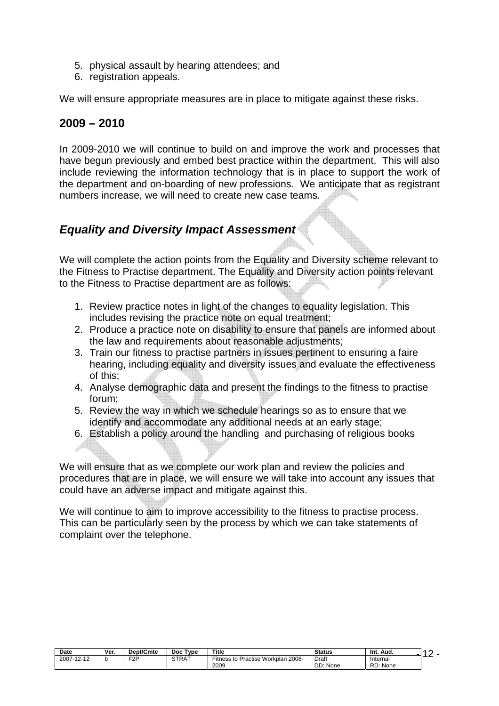- 5. physical assault by hearing attendees; and
- 6. registration appeals.

We will ensure appropriate measures are in place to mitigate against these risks.

# **2009 – 2010**

In 2009-2010 we will continue to build on and improve the work and processes that have begun previously and embed best practice within the department. This will also include reviewing the information technology that is in place to support the work of the department and on-boarding of new professions. We anticipate that as registrant numbers increase, we will need to create new case teams.

# *Equality and Diversity Impact Assessment*

We will complete the action points from the Equality and Diversity scheme relevant to the Fitness to Practise department. The Equality and Diversity action points relevant to the Fitness to Practise department are as follows:

- 1. Review practice notes in light of the changes to equality legislation. This includes revising the practice note on equal treatment;
- 2. Produce a practice note on disability to ensure that panels are informed about the law and requirements about reasonable adjustments;
- 3. Train our fitness to practise partners in issues pertinent to ensuring a faire hearing, including equality and diversity issues and evaluate the effectiveness of this;
- 4. Analyse demographic data and present the findings to the fitness to practise forum;
- 5. Review the way in which we schedule hearings so as to ensure that we identify and accommodate any additional needs at an early stage;
- 6. Establish a policy around the handling and purchasing of religious books

We will ensure that as we complete our work plan and review the policies and procedures that are in place, we will ensure we will take into account any issues that could have an adverse impact and mitigate against this.

We will continue to aim to improve accessibility to the fitness to practise process. This can be particularly seen by the process by which we can take statements of complaint over the telephone.

| Date       | Ver. | Dept/Cmte        | Type<br>Doc  | Title                                                      | <b>Status</b> | Int.<br>Aud |  |
|------------|------|------------------|--------------|------------------------------------------------------------|---------------|-------------|--|
| 2007-12-12 |      | F <sub>2</sub> P | <b>STRAT</b> | Workplan<br>2008-<br>$- \cdot$<br>Practise<br>Fitness to r | Draft         | Internal    |  |
|            |      |                  |              | 2009                                                       | DD: None      | RD: None    |  |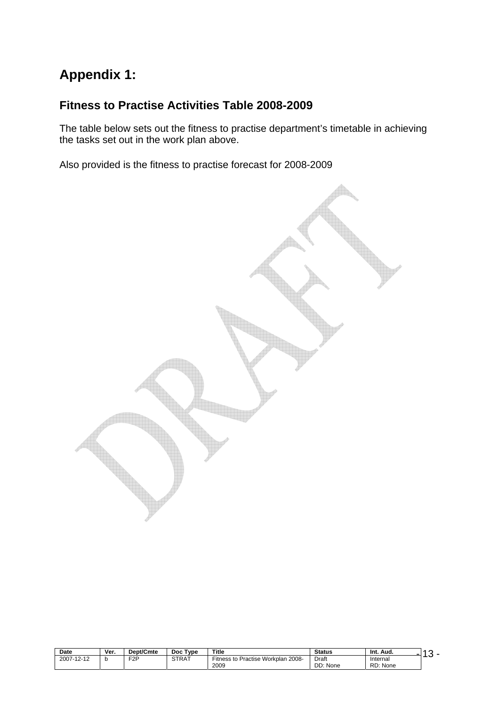# **Appendix 1:**

# **Fitness to Practise Activities Table 2008-2009**

The table below sets out the fitness to practise department's timetable in achieving the tasks set out in the work plan above.

Also provided is the fitness to practise forecast for 2008-2009



| Date       | Ver. | Dept/Cmte        | <b>Type</b><br>Doc. | <b>Title</b>                          | <b>Status</b> | Int.<br>Aud. |  |
|------------|------|------------------|---------------------|---------------------------------------|---------------|--------------|--|
| 2007-12-12 |      | F <sub>2</sub> P | STRAT               | Fitness to Practise Workplan<br>2008- | Draft         | Internal     |  |
|            |      |                  |                     | 2009                                  | DD: None      | RD: None     |  |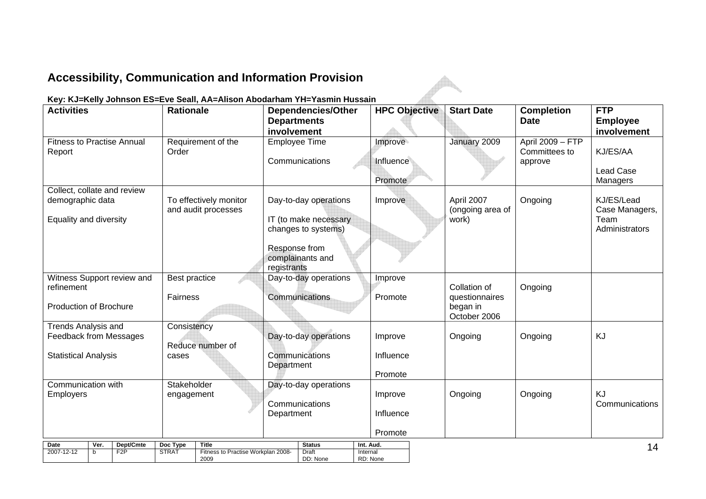# **Accessibility, Communication and Information Provision**

#### **Key: KJ=Kelly Johnson ES=Eve Seall, AA=Alison Abodarham YH=Yasmin Hussain**

| <b>Activities</b>                                           | <b>Rationale</b>     |                                            |                    | <b>Dependencies/Other</b>         |                      | <b>HPC Objective</b> | <b>Start Date</b>              | <b>Completion</b> | <b>FTP</b>                   |
|-------------------------------------------------------------|----------------------|--------------------------------------------|--------------------|-----------------------------------|----------------------|----------------------|--------------------------------|-------------------|------------------------------|
|                                                             |                      |                                            | <b>Departments</b> |                                   |                      |                      |                                | <b>Date</b>       | <b>Employee</b>              |
| <b>Fitness to Practise Annual</b>                           |                      | Requirement of the                         | involvement        | Employee Time                     | Improve              |                      | January 2009                   | April 2009 - FTP  | involvement                  |
| Report                                                      | Order                |                                            |                    |                                   |                      |                      |                                | Committees to     | KJ/ES/AA                     |
|                                                             |                      |                                            |                    | Communications                    | Influence            |                      |                                | approve           |                              |
|                                                             |                      |                                            |                    |                                   | Promote              |                      |                                |                   | <b>Lead Case</b><br>Managers |
| Collect, collate and review                                 |                      |                                            |                    |                                   |                      |                      |                                |                   |                              |
| demographic data                                            |                      | To effectively monitor                     |                    | Day-to-day operations             | Improve              |                      | April 2007                     | Ongoing           | KJ/ES/Lead                   |
| Equality and diversity                                      |                      | and audit processes                        |                    | IT (to make necessary             |                      |                      | (ongoing area of<br>work)      |                   | Case Managers,<br>Team       |
|                                                             |                      |                                            |                    | changes to systems)               |                      |                      |                                |                   | Administrators               |
|                                                             |                      |                                            |                    |                                   |                      |                      |                                |                   |                              |
|                                                             |                      |                                            |                    | Response from<br>complainants and |                      |                      |                                |                   |                              |
|                                                             |                      |                                            | registrants        |                                   |                      |                      |                                |                   |                              |
| Witness Support review and                                  | <b>Best practice</b> |                                            |                    | Day-to-day operations             | Improve              |                      |                                |                   |                              |
| refinement                                                  | Fairness             |                                            |                    | Communications                    | Promote              |                      | Collation of<br>questionnaires | Ongoing           |                              |
| <b>Production of Brochure</b>                               |                      |                                            |                    |                                   |                      |                      | began in                       |                   |                              |
|                                                             |                      |                                            |                    |                                   |                      |                      | October 2006                   |                   |                              |
| <b>Trends Analysis and</b><br><b>Feedback from Messages</b> | Consistency          |                                            |                    | Day-to-day operations             | Improve              |                      | Ongoing                        | Ongoing           | KJ                           |
|                                                             |                      | Reduce number of                           |                    |                                   |                      |                      |                                |                   |                              |
| <b>Statistical Analysis</b>                                 | cases                |                                            |                    | Communications                    | Influence            |                      |                                |                   |                              |
|                                                             |                      |                                            | Department         |                                   | Promote              |                      |                                |                   |                              |
| Communication with                                          | Stakeholder          |                                            |                    | Day-to-day operations             |                      |                      |                                |                   |                              |
| Employers                                                   | engagement           |                                            |                    |                                   | Improve              |                      | Ongoing                        | Ongoing           | <b>KJ</b>                    |
|                                                             |                      |                                            | Department         | Communications                    | Influence            |                      |                                |                   | Communications               |
|                                                             |                      |                                            |                    |                                   |                      |                      |                                |                   |                              |
|                                                             |                      |                                            |                    |                                   | Promote              |                      |                                |                   |                              |
| <b>Date</b><br>Dept/Cmte<br>Ver.                            | Doc Type             | <b>Title</b>                               |                    | <b>Status</b>                     | Int. Aud.            |                      |                                |                   | 14                           |
| F2P<br>2007-12-12<br>$\mathsf{b}$                           | <b>STRAT</b>         | Fitness to Practise Workplan 2008-<br>2009 |                    | Draft<br>DD: None                 | Internal<br>RD: None |                      |                                |                   |                              |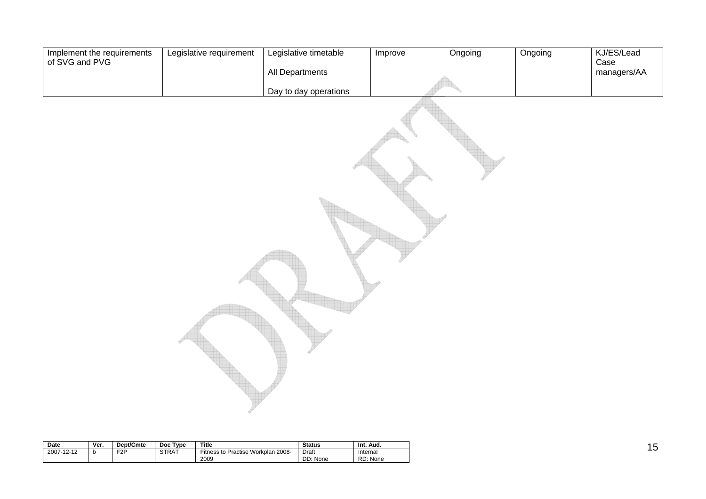| Implement the requirements<br>of SVG and PVG | Legislative requirement | Legislative timetable | Improve | Ongoing | Ongoing | KJ/ES/Lead<br>Case |
|----------------------------------------------|-------------------------|-----------------------|---------|---------|---------|--------------------|
|                                              |                         | All Departments       |         |         |         | managers/AA        |
|                                              |                         | Day to day operations |         |         |         |                    |
|                                              |                         |                       |         |         |         |                    |

| Date       | Ver. | <b>Dept/Cmte</b> | Type<br><b>Doc</b> | Title                                         | <b>Status</b>     | Int.<br>Aud.         |
|------------|------|------------------|--------------------|-----------------------------------------------|-------------------|----------------------|
| 2007-12-12 | v    | F2P              | <b>STRAT</b>       | Practise Workplan 2008-<br>Fitness to<br>2009 | Draft<br>DD: None | Internal<br>RD: None |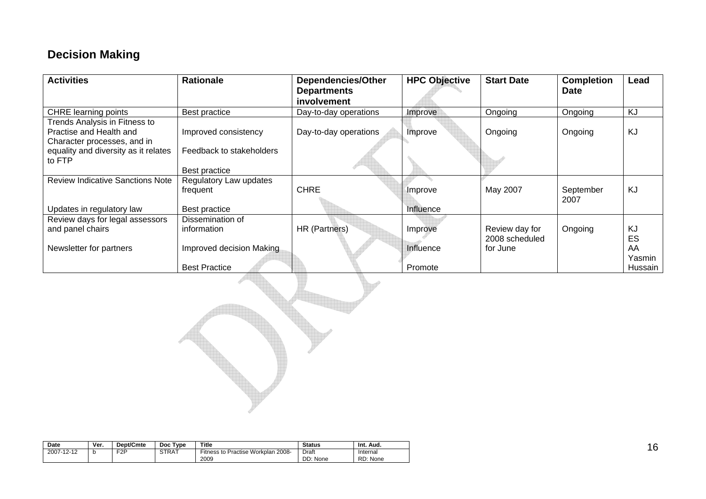# **Decision Making**

| <b>Activities</b>                              | <b>Rationale</b>         | <b>Dependencies/Other</b><br><b>Departments</b><br>involvement | <b>HPC Objective</b> | <b>Start Date</b> | <b>Completion</b><br><b>Date</b> | Lead    |
|------------------------------------------------|--------------------------|----------------------------------------------------------------|----------------------|-------------------|----------------------------------|---------|
| <b>CHRE</b> learning points                    | Best practice            | Day-to-day operations                                          | Improve              | Ongoing           | Ongoing                          | KJ      |
| Trends Analysis in Fitness to                  |                          |                                                                |                      |                   |                                  |         |
| Practise and Health and                        | Improved consistency     | Day-to-day operations                                          | Improve              | Ongoing           | Ongoing                          | KJ      |
| Character processes, and in                    |                          |                                                                |                      |                   |                                  |         |
| equality and diversity as it relates<br>to FTP | Feedback to stakeholders |                                                                |                      |                   |                                  |         |
|                                                | Best practice            |                                                                |                      |                   |                                  |         |
| <b>Review Indicative Sanctions Note</b>        | Regulatory Law updates   |                                                                |                      |                   |                                  |         |
|                                                | frequent                 | <b>CHRE</b>                                                    | Improve              | May 2007          | September                        | KJ      |
|                                                |                          |                                                                |                      |                   | 2007                             |         |
| Updates in regulatory law                      | Best practice            |                                                                | Influence            |                   |                                  |         |
| Review days for legal assessors                | Dissemination of         |                                                                |                      |                   |                                  |         |
| and panel chairs                               | information              | HR (Partners)                                                  | Improve              | Review day for    | Ongoing                          | KJ      |
|                                                |                          |                                                                |                      | 2008 scheduled    |                                  | ES      |
| Newsletter for partners                        | Improved decision Making |                                                                | Influence            | for June          |                                  | AA      |
|                                                |                          |                                                                |                      |                   |                                  | Yasmin  |
|                                                | <b>Best Practice</b>     |                                                                | Promote              |                   |                                  | Hussain |

| Date       | Ver. | <b>Dept/Cmte</b> | Type<br><b>Doc</b> | <b>Title</b>                                  | <b>Status</b>     | Int. Aud.            |
|------------|------|------------------|--------------------|-----------------------------------------------|-------------------|----------------------|
| 2007-12-12 | .U   | F <sub>2</sub> P | STRAT              | Fitness to Practise Workplan<br>2008-<br>2009 | Draft<br>DD: None | Internal<br>RD: None |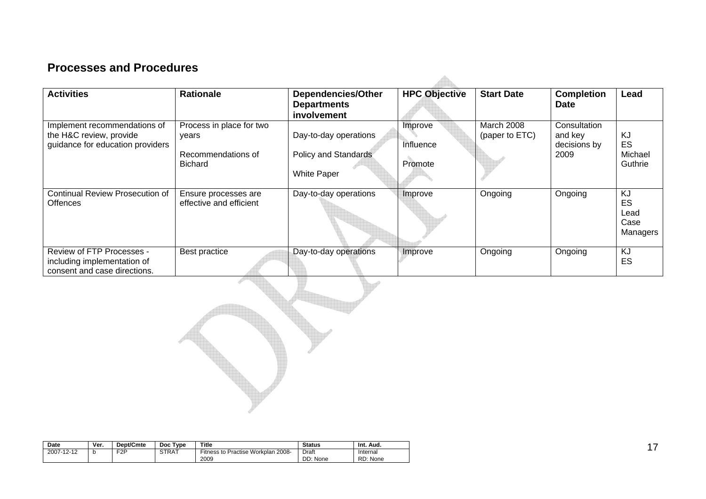# **Processes and Procedures**

| <b>Activities</b>                                                                           | <b>Rationale</b>                                                          | <b>Dependencies/Other</b><br><b>Departments</b><br>involvement             | <b>HPC Objective</b>            | <b>Start Date</b>            | <b>Completion</b><br><b>Date</b>                | Lead                                         |
|---------------------------------------------------------------------------------------------|---------------------------------------------------------------------------|----------------------------------------------------------------------------|---------------------------------|------------------------------|-------------------------------------------------|----------------------------------------------|
| Implement recommendations of<br>the H&C review, provide<br>guidance for education providers | Process in place for two<br>vears<br>Recommendations of<br><b>Bichard</b> | Day-to-day operations<br><b>Policy and Standards</b><br><b>White Paper</b> | Improve<br>Influence<br>Promote | March 2008<br>(paper to ETC) | Consultation<br>and key<br>decisions by<br>2009 | <b>KJ</b><br><b>ES</b><br>Michael<br>Guthrie |
| <b>Continual Review Prosecution of</b><br><b>Offences</b>                                   | Ensure processes are<br>effective and efficient                           | Day-to-day operations                                                      | Improve                         | Ongoing                      | Ongoing                                         | <b>KJ</b><br>ES<br>Lead<br>Case<br>Managers  |
| Review of FTP Processes -<br>including implementation of<br>consent and case directions.    | Best practice                                                             | Day-to-day operations                                                      | Improve                         | Ongoing                      | Ongoing                                         | KJ<br>ES                                     |



| <b>Date</b> | Ver. | Dept/Cmte        | <b>Type</b><br><b>Doc</b> | Title                                      | <b>Status</b>     | Int.<br>Aud.         |
|-------------|------|------------------|---------------------------|--------------------------------------------|-------------------|----------------------|
| 2007-12-12  | b    | F <sub>2</sub> P | STRAT                     | Fitness to Practise Workplan 2008-<br>2009 | Draft<br>DD: None | Internal<br>RD: None |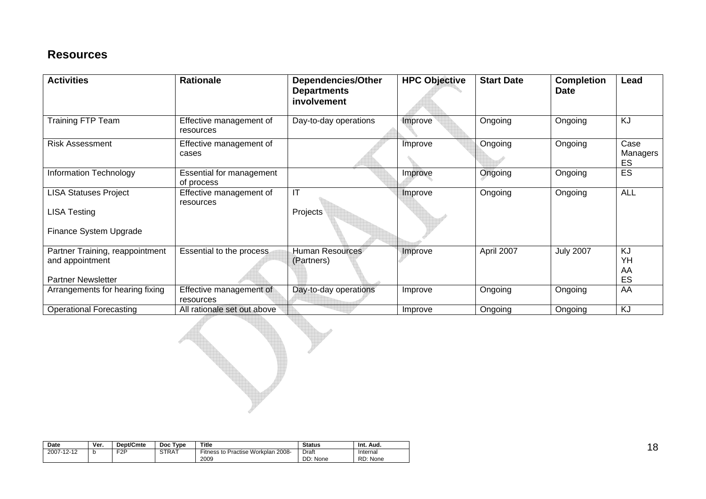# **Resources**

| <b>Activities</b>                                                               | <b>Rationale</b>                       | <b>Dependencies/Other</b><br><b>Departments</b><br>involvement | <b>HPC Objective</b> | <b>Start Date</b> | <b>Completion</b><br><b>Date</b> | Lead                   |
|---------------------------------------------------------------------------------|----------------------------------------|----------------------------------------------------------------|----------------------|-------------------|----------------------------------|------------------------|
| Training FTP Team                                                               | Effective management of<br>resources   | Day-to-day operations                                          | Improve              | Ongoing           | Ongoing                          | KJ                     |
| <b>Risk Assessment</b>                                                          | Effective management of<br>cases       |                                                                | Improve              | Ongoing           | Ongoing                          | Case<br>Managers<br>ES |
| <b>Information Technology</b>                                                   | Essential for management<br>of process |                                                                | Improve              | Ongoing           | Ongoing                          | ES                     |
| <b>LISA Statuses Project</b><br><b>LISA Testing</b><br>Finance System Upgrade   | Effective management of<br>resources   | $\overline{\mathsf{I}\mathsf{T}}$<br>Projects                  | Improve              | Ongoing           | Ongoing                          | <b>ALL</b>             |
| Partner Training, reappointment<br>and appointment<br><b>Partner Newsletter</b> | Essential to the process               | <b>Human Resources</b><br>(Partners)                           | Improve              | April 2007        | <b>July 2007</b>                 | KJ<br>YΗ<br>AA<br>ES   |
| Arrangements for hearing fixing                                                 | Effective management of<br>resources   | Day-to-day operations                                          | Improve              | Ongoing           | Ongoing                          | AA                     |
| <b>Operational Forecasting</b>                                                  | All rationale set out above            |                                                                | Improve              | Ongoing           | Ongoing                          | <b>KJ</b>              |

| <b>Date</b> | Ver. | Dept/Cmte        | <b>Type</b><br>Doc. | <b>Title</b>                               | <b>Status</b>     | Int.<br>Aud.         |
|-------------|------|------------------|---------------------|--------------------------------------------|-------------------|----------------------|
| 2007-12-12  |      | F <sub>2</sub> P | <b>STRAT</b>        | Fitness to Practise Workplan 2008-<br>2009 | Draft<br>DD: None | Internal<br>RD: None |